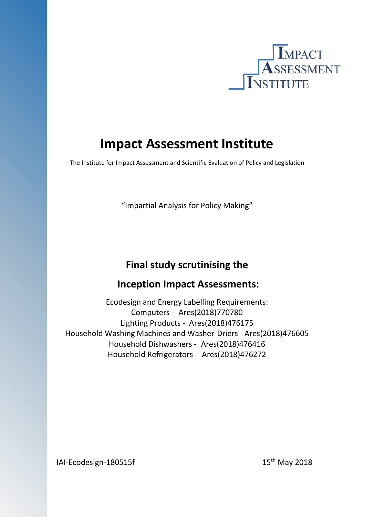

# **Impact Assessment Institute**

The Institute for Impact Assessment and Scientific Evaluation of Policy and Legislation

"Impartial Analysis for Policy Making"

# **Final study scrutinising the**

# **Inception Impact Assessments:**

Ecodesign and Energy Labelling Requirements: Computers - Ares(2018)770780 Lighting Products - Ares(2018)476175 Household Washing Machines and Washer-Driers - Ares(2018)476605 Household Dishwashers - Ares(2018)476416 Household Refrigerators - Ares(2018)476272

 $I$ Al-Ecodesign-180515f 15th May 2018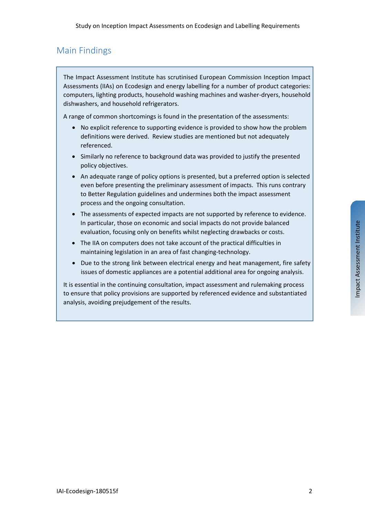

# Main Findings

The Impact Assessment Institute has scrutinised European Commission Inception Impact Assessments (IIAs) on Ecodesign and energy labelling for a number of product categories: computers, lighting products, household washing machines and washer-dryers, household dishwashers, and household refrigerators.

A range of common shortcomings is found in the presentation of the assessments:

- No explicit reference to supporting evidence is provided to show how the problem definitions were derived. Review studies are mentioned but not adequately referenced.
- Similarly no reference to background data was provided to justify the presented policy objectives.
- An adequate range of policy options is presented, but a preferred option is selected even before presenting the preliminary assessment of impacts. This runs contrary to Better Regulation guidelines and undermines both the impact assessment process and the ongoing consultation.
- The assessments of expected impacts are not supported by reference to evidence. In particular, those on economic and social impacts do not provide balanced evaluation, focusing only on benefits whilst neglecting drawbacks or costs.
- The IIA on computers does not take account of the practical difficulties in maintaining legislation in an area of fast changing-technology.
- Due to the strong link between electrical energy and heat management, fire safety issues of domestic appliances are a potential additional area for ongoing analysis.

It is essential in the continuing consultation, impact assessment and rulemaking process to ensure that policy provisions are supported by referenced evidence and substantiated analysis, avoiding prejudgement of the results.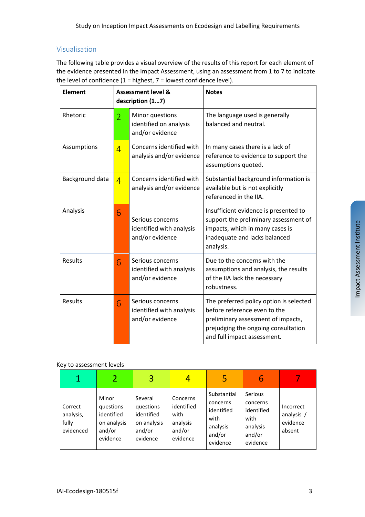### Visualisation

The following table provides a visual overview of the results of this report for each element of the evidence presented in the Impact Assessment, using an assessment from 1 to 7 to indicate the level of confidence  $(1 =$  highest,  $7 =$  lowest confidence level).

| <b>Element</b>  |                | <b>Assessment level &amp;</b><br>description (17)               | <b>Notes</b>                                                                                                                                                                        |  |
|-----------------|----------------|-----------------------------------------------------------------|-------------------------------------------------------------------------------------------------------------------------------------------------------------------------------------|--|
| Rhetoric        | $\overline{2}$ | Minor questions<br>identified on analysis<br>and/or evidence    | The language used is generally<br>balanced and neutral.                                                                                                                             |  |
| Assumptions     | $\overline{4}$ | Concerns identified with<br>analysis and/or evidence            | In many cases there is a lack of<br>reference to evidence to support the<br>assumptions quoted.                                                                                     |  |
| Background data | $\overline{4}$ | Concerns identified with<br>analysis and/or evidence            | Substantial background information is<br>available but is not explicitly<br>referenced in the IIA.                                                                                  |  |
| Analysis        | 6              | Serious concerns<br>identified with analysis<br>and/or evidence | Insufficient evidence is presented to<br>support the preliminary assessment of<br>impacts, which in many cases is<br>inadequate and lacks balanced<br>analysis.                     |  |
| <b>Results</b>  | 6              | Serious concerns<br>identified with analysis<br>and/or evidence | Due to the concerns with the<br>assumptions and analysis, the results<br>of the IIA lack the necessary<br>robustness.                                                               |  |
| Results         | 6              | Serious concerns<br>identified with analysis<br>and/or evidence | The preferred policy option is selected<br>before reference even to the<br>preliminary assessment of impacts,<br>prejudging the ongoing consultation<br>and full impact assessment. |  |

#### Key to assessment levels

|                                            |                                                                       | 3                                                                       |                                                                  | 5                                                                               | b                                                                           |                                               |
|--------------------------------------------|-----------------------------------------------------------------------|-------------------------------------------------------------------------|------------------------------------------------------------------|---------------------------------------------------------------------------------|-----------------------------------------------------------------------------|-----------------------------------------------|
| Correct<br>analysis,<br>fully<br>evidenced | Minor<br>questions<br>identified<br>on analysis<br>and/or<br>evidence | Several<br>questions<br>identified<br>on analysis<br>and/or<br>evidence | Concerns<br>identified<br>with<br>analysis<br>and/or<br>evidence | Substantial<br>concerns<br>identified<br>with<br>analysis<br>and/or<br>evidence | Serious<br>concerns<br>identified<br>with<br>analysis<br>and/or<br>evidence | Incorrect<br>analysis /<br>evidence<br>absent |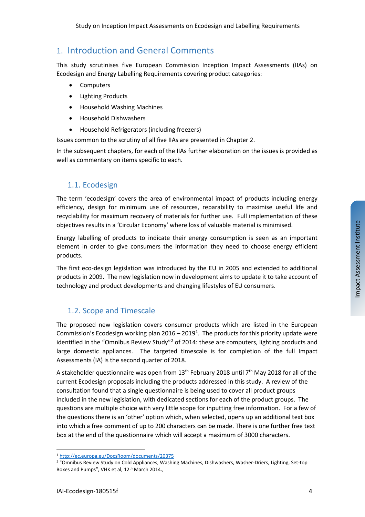### 1. Introduction and General Comments

This study scrutinises five European Commission Inception Impact Assessments (IIAs) on Ecodesign and Energy Labelling Requirements covering product categories:

- Computers
- Lighting Products
- Household Washing Machines
- Household Dishwashers
- Household Refrigerators (including freezers)

Issues common to the scrutiny of all five IIAs are presented in Chapter [2.](#page-5-0)

In the subsequent chapters, for each of the IIAs further elaboration on the issues is provided as well as commentary on items specific to each.

### 1.1. Ecodesign

The term 'ecodesign' covers the area of environmental impact of products including energy efficiency, design for minimum use of resources, reparability to maximise useful life and recyclability for maximum recovery of materials for further use. Full implementation of these objectives results in a 'Circular Economy' where loss of valuable material is minimised.

Energy labelling of products to indicate their energy consumption is seen as an important element in order to give consumers the information they need to choose energy efficient products.

The first eco-design legislation was introduced by the EU in 2005 and extended to additional products in 2009. The new legislation now in development aims to update it to take account of technology and product developments and changing lifestyles of EU consumers.

### 1.2. Scope and Timescale

The proposed new legislation covers consumer products which are listed in the European Commission's Ecodesign working plan  $2016 - 2019<sup>1</sup>$  $2016 - 2019<sup>1</sup>$  $2016 - 2019<sup>1</sup>$ . The products for this priority update were identified in the "Omnibus Review Study"<sup>[2](#page-3-1)</sup> of 2014: these are computers, lighting products and large domestic appliances. The targeted timescale is for completion of the full Impact Assessments (IA) is the second quarter of 2018.

A stakeholder questionnaire was open from  $13<sup>th</sup>$  February 2018 until 7<sup>th</sup> May 2018 for all of the current Ecodesign proposals including the products addressed in this study. A review of the consultation found that a single questionnaire is being used to cover all product groups included in the new legislation, with dedicated sections for each of the product groups. The questions are multiple choice with very little scope for inputting free information. For a few of the questions there is an 'other' option which, when selected, opens up an additional text box into which a free comment of up to 200 characters can be made. There is one further free text box at the end of the questionnaire which will accept a maximum of 3000 characters.

 $\overline{a}$ 

<span id="page-3-0"></span><sup>1</sup> <http://ec.europa.eu/DocsRoom/documents/20375>

<span id="page-3-1"></span><sup>2</sup> "Omnibus Review Study on Cold Appliances, Washing Machines, Dishwashers, Washer-Driers, Lighting, Set-top Boxes and Pumps", VHK et al, 12<sup>th</sup> March 2014.,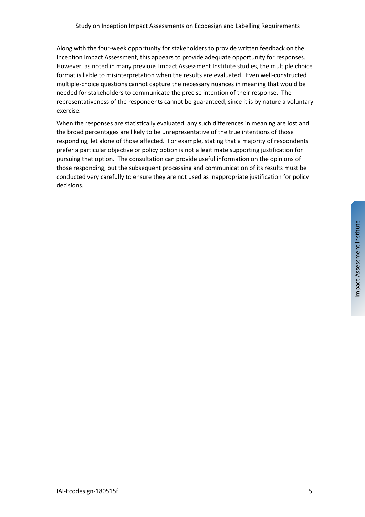Along with the four-week opportunity for stakeholders to provide written feedback on the Inception Impact Assessment, this appears to provide adequate opportunity for responses. However, as noted in many previous Impact Assessment Institute studies, the multiple choice format is liable to misinterpretation when the results are evaluated. Even well-constructed multiple-choice questions cannot capture the necessary nuances in meaning that would be needed for stakeholders to communicate the precise intention of their response. The representativeness of the respondents cannot be guaranteed, since it is by nature a voluntary exercise.

When the responses are statistically evaluated, any such differences in meaning are lost and the broad percentages are likely to be unrepresentative of the true intentions of those responding, let alone of those affected. For example, stating that a majority of respondents prefer a particular objective or policy option is not a legitimate supporting justification for pursuing that option. The consultation can provide useful information on the opinions of those responding, but the subsequent processing and communication of its results must be conducted very carefully to ensure they are not used as inappropriate justification for policy decisions.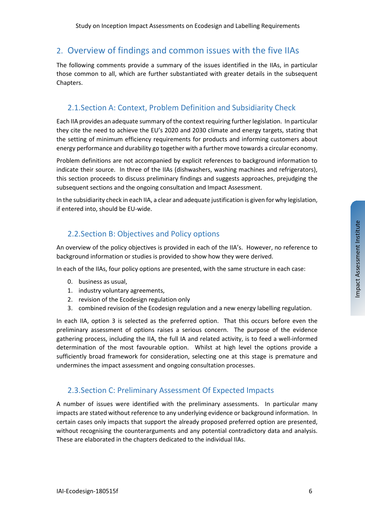### <span id="page-5-0"></span>2. Overview of findings and common issues with the five IIAs

The following comments provide a summary of the issues identified in the IIAs, in particular those common to all, which are further substantiated with greater details in the subsequent Chapters.

### 2.1.Section A: Context, Problem Definition and Subsidiarity Check

Each IIA provides an adequate summary of the context requiring further legislation. In particular they cite the need to achieve the EU's 2020 and 2030 climate and energy targets, stating that the setting of minimum efficiency requirements for products and informing customers about energy performance and durability go together with a further move towards a circular economy.

Problem definitions are not accompanied by explicit references to background information to indicate their source. In three of the IIAs (dishwashers, washing machines and refrigerators), this section proceeds to discuss preliminary findings and suggests approaches, prejudging the subsequent sections and the ongoing consultation and Impact Assessment.

In the subsidiarity check in each IIA, a clear and adequate justification is given for why legislation, if entered into, should be EU-wide.

### 2.2.Section B: Objectives and Policy options

An overview of the policy objectives is provided in each of the IIA's. However, no reference to background information or studies is provided to show how they were derived.

In each of the IIAs, four policy options are presented, with the same structure in each case:

- 0. business as usual,
- 1. industry voluntary agreements,
- 2. revision of the Ecodesign regulation only
- 3. combined revision of the Ecodesign regulation and a new energy labelling regulation.

In each IIA, option 3 is selected as the preferred option. That this occurs before even the preliminary assessment of options raises a serious concern. The purpose of the evidence gathering process, including the IIA, the full IA and related activity, is to feed a well-informed determination of the most favourable option. Whilst at high level the options provide a sufficiently broad framework for consideration, selecting one at this stage is premature and undermines the impact assessment and ongoing consultation processes.

### 2.3.Section C: Preliminary Assessment Of Expected Impacts

A number of issues were identified with the preliminary assessments. In particular many impacts are stated without reference to any underlying evidence or background information. In certain cases only impacts that support the already proposed preferred option are presented, without recognising the counterarguments and any potential contradictory data and analysis. These are elaborated in the chapters dedicated to the individual IIAs.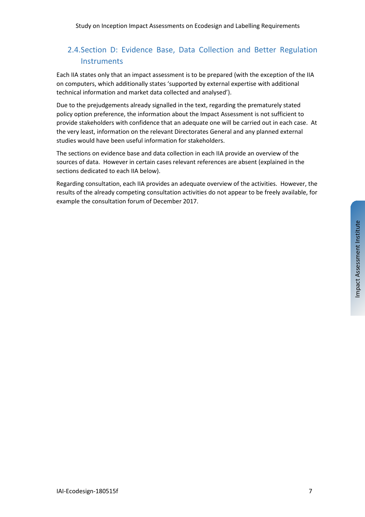# 2.4.Section D: Evidence Base, Data Collection and Better Regulation **Instruments**

Each IIA states only that an impact assessment is to be prepared (with the exception of the IIA on computers, which additionally states 'supported by external expertise with additional technical information and market data collected and analysed').

Due to the prejudgements already signalled in the text, regarding the prematurely stated policy option preference, the information about the Impact Assessment is not sufficient to provide stakeholders with confidence that an adequate one will be carried out in each case. At the very least, information on the relevant Directorates General and any planned external studies would have been useful information for stakeholders.

The sections on evidence base and data collection in each IIA provide an overview of the sources of data. However in certain cases relevant references are absent (explained in the sections dedicated to each IIA below).

Regarding consultation, each IIA provides an adequate overview of the activities. However, the results of the already competing consultation activities do not appear to be freely available, for example the consultation forum of December 2017.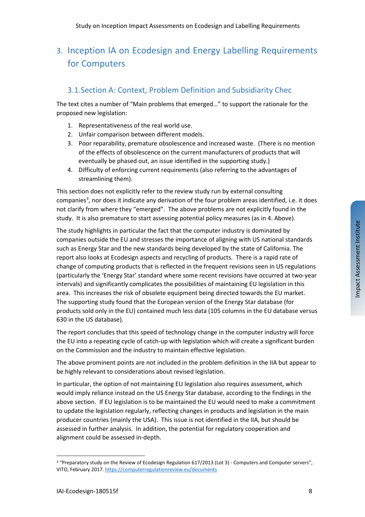# 3. Inception IA on Ecodesign and Energy Labelling Requirements for Computers

## 3.1.Section A: Context, Problem Definition and Subsidiarity Chec

The text cites a number of "Main problems that emerged…" to support the rationale for the proposed new legislation:

- 1. Representativeness of the real world use.
- 2. Unfair comparison between different models.
- 3. Poor reparability, premature obsolescence and increased waste. (There is no mention of the effects of obsolescence on the current manufacturers of products that will eventually be phased out, an issue identified in the supporting study.)
- 4. Difficulty of enforcing current requirements (also referring to the advantages of streamlining them).

This section does not explicitly refer to the review study run by external consulting companies<sup>[3](#page-7-0)</sup>, nor does it indicate any derivation of the four problem areas identified, i.e. it does not clarify from where they "emerged". The above problems are not explicitly found in the study. It is also premature to start assessing potential policy measures (as in 4. Above).

The study highlights in particular the fact that the computer industry is dominated by companies outside the EU and stresses the importance of aligning with US national standards such as Energy Star and the new standards being developed by the state of California. The report also looks at Ecodesign aspects and recycling of products. There is a rapid rate of change of computing products that is reflected in the frequent revisions seen in US regulations (particularly the 'Energy Star' standard where some recent revisions have occurred at two-year intervals) and significantly complicates the possibilities of maintaining EU legislation in this area. This increases the risk of obsolete equipment being directed towards the EU market. The supporting study found that the European version of the Energy Star database (for products sold only in the EU) contained much less data (105 columns in the EU database versus 630 in the US database).

The report concludes that this speed of technology change in the computer industry will force the EU into a repeating cycle of catch-up with legislation which will create a significant burden on the Commission and the industry to maintain effective legislation.

The above prominent points are not included in the problem definition in the IIA but appear to be highly relevant to considerations about revised legislation.

In particular, the option of not maintaining EU legislation also requires assessment, which would imply reliance instead on the US Energy Star database, according to the findings in the above section. If EU legislation is to be maintained the EU would need to make a commitment to update the legislation regularly, reflecting changes in products and legislation in the main producer countries (mainly the USA). This issue is not identified in the IIA, but should be assessed in further analysis. In addition, the potential for regulatory cooperation and alignment could be assessed in-depth.

<span id="page-7-0"></span> $\overline{a}$ <sup>3</sup> "Preparatory study on the Review of Ecodesign Regulation 617/2013 (Lot 3) - Computers and Computer servers", VITO, February 2017. <https://computerregulationreview.eu/documents>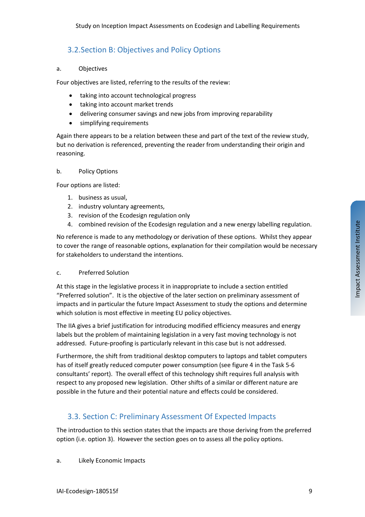# 3.2.Section B: Objectives and Policy Options

#### a. Objectives

Four objectives are listed, referring to the results of the review:

- taking into account technological progress
- taking into account market trends
- delivering consumer savings and new jobs from improving reparability
- simplifying requirements

Again there appears to be a relation between these and part of the text of the review study, but no derivation is referenced, preventing the reader from understanding their origin and reasoning.

#### b. Policy Options

Four options are listed:

- 1. business as usual,
- 2. industry voluntary agreements,
- 3. revision of the Ecodesign regulation only
- 4. combined revision of the Ecodesign regulation and a new energy labelling regulation.

No reference is made to any methodology or derivation of these options. Whilst they appear to cover the range of reasonable options, explanation for their compilation would be necessary for stakeholders to understand the intentions.

#### c. Preferred Solution

At this stage in the legislative process it in inappropriate to include a section entitled "Preferred solution". It is the objective of the later section on preliminary assessment of impacts and in particular the future Impact Assessment to study the options and determine which solution is most effective in meeting EU policy objectives.

The IIA gives a brief justification for introducing modified efficiency measures and energy labels but the problem of maintaining legislation in a very fast moving technology is not addressed. Future-proofing is particularly relevant in this case but is not addressed.

Furthermore, the shift from traditional desktop computers to laptops and tablet computers has of itself greatly reduced computer power consumption (see figure 4 in the Task 5-6 consultants' report). The overall effect of this technology shift requires full analysis with respect to any proposed new legislation. Other shifts of a similar or different nature are possible in the future and their potential nature and effects could be considered.

## <span id="page-8-0"></span>3.3. Section C: Preliminary Assessment Of Expected Impacts

The introduction to this section states that the impacts are those deriving from the preferred option (i.e. option 3). However the section goes on to assess all the policy options.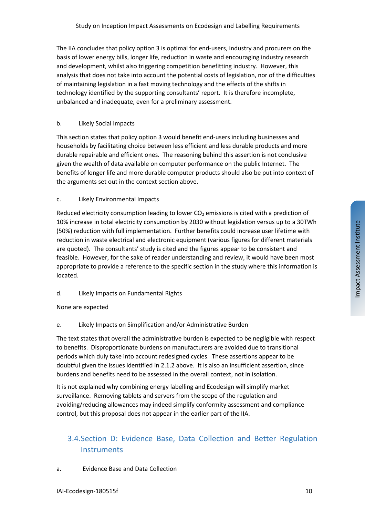The IIA concludes that policy option 3 is optimal for end-users, industry and procurers on the basis of lower energy bills, longer life, reduction in waste and encouraging industry research and development, whilst also triggering competition benefitting industry. However, this analysis that does not take into account the potential costs of legislation, nor of the difficulties of maintaining legislation in a fast moving technology and the effects of the shifts in technology identified by the supporting consultants' report. It is therefore incomplete, unbalanced and inadequate, even for a preliminary assessment.

#### b. Likely Social Impacts

This section states that policy option 3 would benefit end-users including businesses and households by facilitating choice between less efficient and less durable products and more durable repairable and efficient ones. The reasoning behind this assertion is not conclusive given the wealth of data available on computer performance on the public Internet. The benefits of longer life and more durable computer products should also be put into context of the arguments set out in the context section above.

#### c. Likely Environmental Impacts

Reduced electricity consumption leading to lower  $CO<sub>2</sub>$  emissions is cited with a prediction of 10% increase in total electricity consumption by 2030 without legislation versus up to a 30TWh (50%) reduction with full implementation. Further benefits could increase user lifetime with reduction in waste electrical and electronic equipment (various figures for different materials are quoted). The consultants' study is cited and the figures appear to be consistent and feasible. However, for the sake of reader understanding and review, it would have been most appropriate to provide a reference to the specific section in the study where this information is located.

#### d. Likely Impacts on Fundamental Rights

None are expected

#### e. Likely Impacts on Simplification and/or Administrative Burden

The text states that overall the administrative burden is expected to be negligible with respect to benefits. Disproportionate burdens on manufacturers are avoided due to transitional periods which duly take into account redesigned cycles. These assertions appear to be doubtful given the issues identified in 2.1.2 above. It is also an insufficient assertion, since burdens and benefits need to be assessed in the overall context, not in isolation.

It is not explained why combining energy labelling and Ecodesign will simplify market surveillance. Removing tablets and servers from the scope of the regulation and avoiding/reducing allowances may indeed simplify conformity assessment and compliance control, but this proposal does not appear in the earlier part of the IIA.

# 3.4.Section D: Evidence Base, Data Collection and Better Regulation **Instruments**

#### a. Evidence Base and Data Collection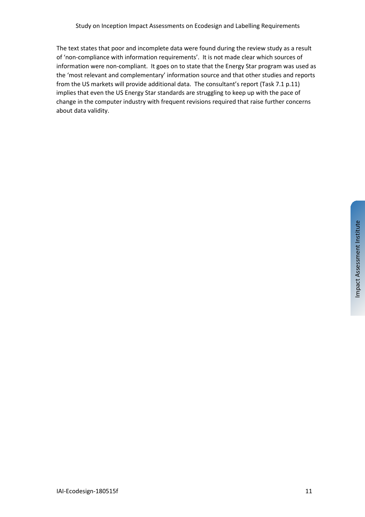The text states that poor and incomplete data were found during the review study as a result of 'non-compliance with information requirements'. It is not made clear which sources of information were non-compliant. It goes on to state that the Energy Star program was used as the 'most relevant and complementary' information source and that other studies and reports from the US markets will provide additional data. The consultant's report (Task 7.1 p.11) implies that even the US Energy Star standards are struggling to keep up with the pace of change in the computer industry with frequent revisions required that raise further concerns about data validity.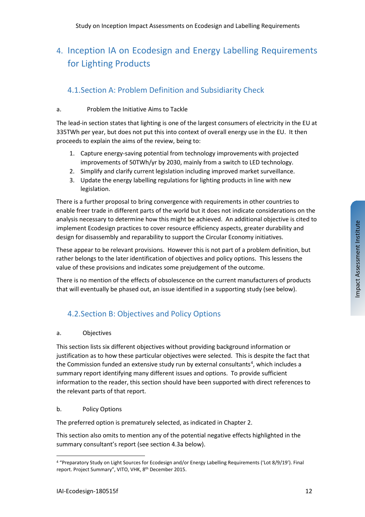# 4. Inception IA on Ecodesign and Energy Labelling Requirements for Lighting Products

# 4.1.Section A: Problem Definition and Subsidiarity Check

#### a. Problem the Initiative Aims to Tackle

The lead-in section states that lighting is one of the largest consumers of electricity in the EU at 335TWh per year, but does not put this into context of overall energy use in the EU. It then proceeds to explain the aims of the review, being to:

- 1. Capture energy-saving potential from technology improvements with projected improvements of 50TWh/yr by 2030, mainly from a switch to LED technology.
- 2. Simplify and clarify current legislation including improved market surveillance.
- 3. Update the energy labelling regulations for lighting products in line with new legislation.

There is a further proposal to bring convergence with requirements in other countries to enable freer trade in different parts of the world but it does not indicate considerations on the analysis necessary to determine how this might be achieved. An additional objective is cited to implement Ecodesign practices to cover resource efficiency aspects, greater durability and design for disassembly and reparability to support the Circular Economy initiatives.

These appear to be relevant provisions. However this is not part of a problem definition, but rather belongs to the later identification of objectives and policy options. This lessens the value of these provisions and indicates some prejudgement of the outcome.

There is no mention of the effects of obsolescence on the current manufacturers of products that will eventually be phased out, an issue identified in a supporting study (see below).

# 4.2.Section B: Objectives and Policy Options

#### a. Objectives

This section lists six different objectives without providing background information or justification as to how these particular objectives were selected. This is despite the fact that the Commission funded an extensive study run by external consultants<sup>[4](#page-11-0)</sup>, which includes a summary report identifying many different issues and options. To provide sufficient information to the reader, this section should have been supported with direct references to the relevant parts of that report.

#### b. Policy Options

The preferred option is prematurely selected, as indicated in Chapter [2.](#page-5-0)

This section also omits to mention any of the potential negative effects highlighted in the summary consultant's report (see section [4.3a](#page-12-0) below).

 $\overline{a}$ 

<span id="page-11-0"></span><sup>4</sup> "Preparatory Study on Light Sources for Ecodesign and/or Energy Labelling Requirements ('Lot 8/9/19'). Final report. Project Summary", VITO, VHK, 8<sup>th</sup> December 2015.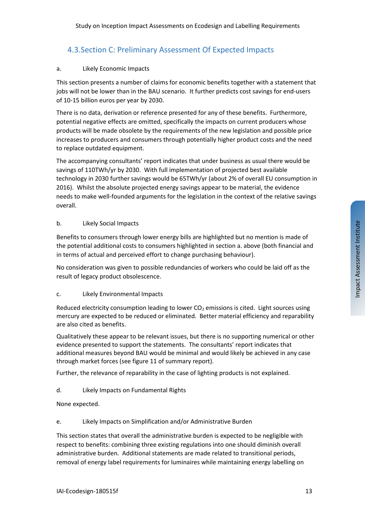## <span id="page-12-0"></span>4.3.Section C: Preliminary Assessment Of Expected Impacts

#### a. Likely Economic Impacts

This section presents a number of claims for economic benefits together with a statement that jobs will not be lower than in the BAU scenario. It further predicts cost savings for end-users of 10-15 billion euros per year by 2030.

There is no data, derivation or reference presented for any of these benefits. Furthermore, potential negative effects are omitted, specifically the impacts on current producers whose products will be made obsolete by the requirements of the new legislation and possible price increases to producers and consumers through potentially higher product costs and the need to replace outdated equipment.

The accompanying consultants' report indicates that under business as usual there would be savings of 110TWh/yr by 2030. With full implementation of projected best available technology in 2030 further savings would be 65TWh/yr (about 2% of overall EU consumption in 2016). Whilst the absolute projected energy savings appear to be material, the evidence needs to make well-founded arguments for the legislation in the context of the relative savings overall.

#### b. Likely Social Impacts

Benefits to consumers through lower energy bills are highlighted but no mention is made of the potential additional costs to consumers highlighted in section a. above (both financial and in terms of actual and perceived effort to change purchasing behaviour).

No consideration was given to possible redundancies of workers who could be laid off as the result of legacy product obsolescence.

#### c. Likely Environmental Impacts

Reduced electricity consumption leading to lower  $CO<sub>2</sub>$  emissions is cited. Light sources using mercury are expected to be reduced or eliminated. Better material efficiency and reparability are also cited as benefits.

Qualitatively these appear to be relevant issues, but there is no supporting numerical or other evidence presented to support the statements. The consultants' report indicates that additional measures beyond BAU would be minimal and would likely be achieved in any case through market forces (see figure 11 of summary report).

Further, the relevance of reparability in the case of lighting products is not explained.

d. Likely Impacts on Fundamental Rights

None expected.

#### e. Likely Impacts on Simplification and/or Administrative Burden

This section states that overall the administrative burden is expected to be negligible with respect to benefits: combining three existing regulations into one should diminish overall administrative burden. Additional statements are made related to transitional periods, removal of energy label requirements for luminaires while maintaining energy labelling on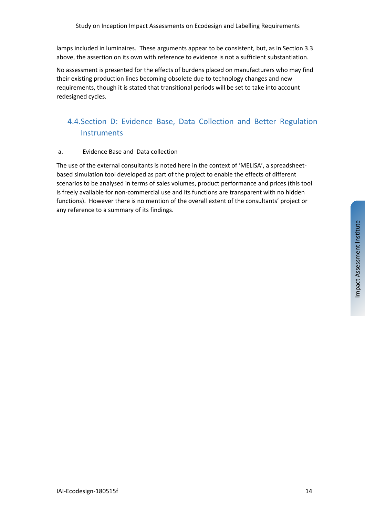lamps included in luminaires. These arguments appear to be consistent, but, as in Sectio[n 3.3](#page-8-0) above, the assertion on its own with reference to evidence is not a sufficient substantiation.

No assessment is presented for the effects of burdens placed on manufacturers who may find their existing production lines becoming obsolete due to technology changes and new requirements, though it is stated that transitional periods will be set to take into account redesigned cycles.

## 4.4.Section D: Evidence Base, Data Collection and Better Regulation **Instruments**

#### a. Evidence Base and Data collection

The use of the external consultants is noted here in the context of 'MELISA', a spreadsheetbased simulation tool developed as part of the project to enable the effects of different scenarios to be analysed in terms of sales volumes, product performance and prices (this tool is freely available for non-commercial use and its functions are transparent with no hidden functions). However there is no mention of the overall extent of the consultants' project or any reference to a summary of its findings.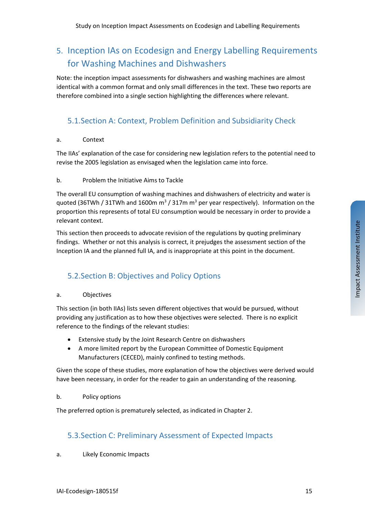# 5. Inception IAs on Ecodesign and Energy Labelling Requirements for Washing Machines and Dishwashers

Note: the inception impact assessments for dishwashers and washing machines are almost identical with a common format and only small differences in the text. These two reports are therefore combined into a single section highlighting the differences where relevant.

## 5.1.Section A: Context, Problem Definition and Subsidiarity Check

#### a. Context

The IIAs' explanation of the case for considering new legislation refers to the potential need to revise the 2005 legislation as envisaged when the legislation came into force.

#### b. Problem the Initiative Aims to Tackle

The overall EU consumption of washing machines and dishwashers of electricity and water is quoted (36TWh / 31TWh and 1600m  $m^3$  / 317m  $m^3$  per year respectively). Information on the proportion this represents of total EU consumption would be necessary in order to provide a relevant context.

This section then proceeds to advocate revision of the regulations by quoting preliminary findings. Whether or not this analysis is correct, it prejudges the assessment section of the Inception IA and the planned full IA, and is inappropriate at this point in the document.

### 5.2.Section B: Objectives and Policy Options

#### a. Objectives

This section (in both IIAs) lists seven different objectives that would be pursued, without providing any justification as to how these objectives were selected. There is no explicit reference to the findings of the relevant studies:

- Extensive study by the Joint Research Centre on dishwashers
- A more limited report by the European Committee of Domestic Equipment Manufacturers (CECED), mainly confined to testing methods.

Given the scope of these studies, more explanation of how the objectives were derived would have been necessary, in order for the reader to gain an understanding of the reasoning.

#### b. Policy options

The preferred option is prematurely selected, as indicated in Chapter [2.](#page-5-0)

### 5.3.Section C: Preliminary Assessment of Expected Impacts

a. Likely Economic Impacts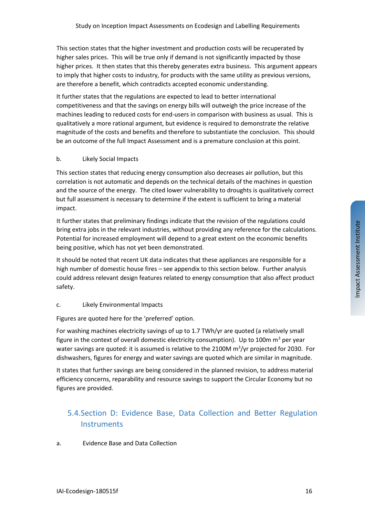This section states that the higher investment and production costs will be recuperated by higher sales prices. This will be true only if demand is not significantly impacted by those higher prices. It then states that this thereby generates extra business. This argument appears to imply that higher costs to industry, for products with the same utility as previous versions, are therefore a benefit, which contradicts accepted economic understanding.

It further states that the regulations are expected to lead to better international competitiveness and that the savings on energy bills will outweigh the price increase of the machines leading to reduced costs for end-users in comparison with business as usual. This is qualitatively a more rational argument, but evidence is required to demonstrate the relative magnitude of the costs and benefits and therefore to substantiate the conclusion. This should be an outcome of the full Impact Assessment and is a premature conclusion at this point.

#### b. Likely Social Impacts

This section states that reducing energy consumption also decreases air pollution, but this correlation is not automatic and depends on the technical details of the machines in question and the source of the energy. The cited lower vulnerability to droughts is qualitatively correct but full assessment is necessary to determine if the extent is sufficient to bring a material impact.

It further states that preliminary findings indicate that the revision of the regulations could bring extra jobs in the relevant industries, without providing any reference for the calculations. Potential for increased employment will depend to a great extent on the economic benefits being positive, which has not yet been demonstrated.

It should be noted that recent UK data indicates that these appliances are responsible for a high number of domestic house fires – see appendix to this section below. Further analysis could address relevant design features related to energy consumption that also affect product safety.

#### c. Likely Environmental Impacts

Figures are quoted here for the 'preferred' option.

For washing machines electricity savings of up to 1.7 TWh/yr are quoted (a relatively small figure in the context of overall domestic electricity consumption). Up to 100m  $m^3$  per year water savings are quoted: it is assumed is relative to the 2100M  $\text{m}^3/\text{yr}$  projected for 2030. For dishwashers, figures for energy and water savings are quoted which are similar in magnitude.

It states that further savings are being considered in the planned revision, to address material efficiency concerns, reparability and resource savings to support the Circular Economy but no figures are provided.

# 5.4.Section D: Evidence Base, Data Collection and Better Regulation **Instruments**

a. Evidence Base and Data Collection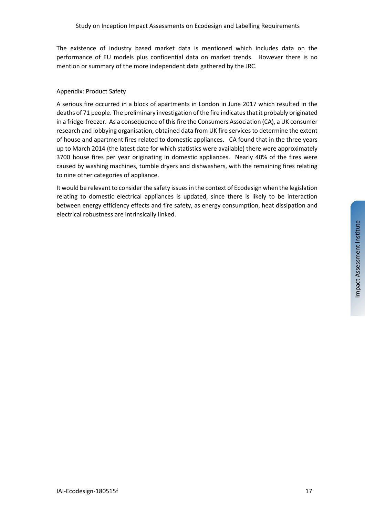The existence of industry based market data is mentioned which includes data on the performance of EU models plus confidential data on market trends. However there is no mention or summary of the more independent data gathered by the JRC.

#### Appendix: Product Safety

A serious fire occurred in a block of apartments in London in June 2017 which resulted in the deaths of 71 people. The preliminary investigation of the fire indicatesthat it probably originated in a fridge-freezer. As a consequence of this fire the Consumers Association (CA), a UK consumer research and lobbying organisation, obtained data from UK fire services to determine the extent of house and apartment fires related to domestic appliances. CA found that in the three years up to March 2014 (the latest date for which statistics were available) there were approximately 3700 house fires per year originating in domestic appliances. Nearly 40% of the fires were caused by washing machines, tumble dryers and dishwashers, with the remaining fires relating to nine other categories of appliance.

It would be relevant to consider the safety issues in the context of Ecodesign when the legislation relating to domestic electrical appliances is updated, since there is likely to be interaction between energy efficiency effects and fire safety, as energy consumption, heat dissipation and electrical robustness are intrinsically linked.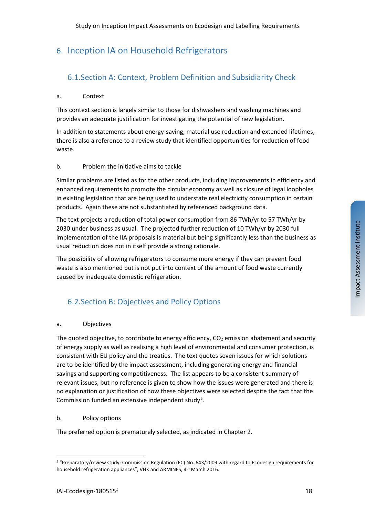# 6. Inception IA on Household Refrigerators

## 6.1.Section A: Context, Problem Definition and Subsidiarity Check

#### a. Context

This context section is largely similar to those for dishwashers and washing machines and provides an adequate justification for investigating the potential of new legislation.

In addition to statements about energy-saving, material use reduction and extended lifetimes, there is also a reference to a review study that identified opportunities for reduction of food waste.

#### b. Problem the initiative aims to tackle

Similar problems are listed as for the other products, including improvements in efficiency and enhanced requirements to promote the circular economy as well as closure of legal loopholes in existing legislation that are being used to understate real electricity consumption in certain products. Again these are not substantiated by referenced background data.

The text projects a reduction of total power consumption from 86 TWh/yr to 57 TWh/yr by 2030 under business as usual. The projected further reduction of 10 TWh/yr by 2030 full implementation of the IIA proposals is material but being significantly less than the business as usual reduction does not in itself provide a strong rationale.

The possibility of allowing refrigerators to consume more energy if they can prevent food waste is also mentioned but is not put into context of the amount of food waste currently caused by inadequate domestic refrigeration.

### 6.2.Section B: Objectives and Policy Options

#### a. Objectives

The quoted objective, to contribute to energy efficiency,  $CO<sub>2</sub>$  emission abatement and security of energy supply as well as realising a high level of environmental and consumer protection, is consistent with EU policy and the treaties. The text quotes seven issues for which solutions are to be identified by the impact assessment, including generating energy and financial savings and supporting competitiveness. The list appears to be a consistent summary of relevant issues, but no reference is given to show how the issues were generated and there is no explanation or justification of how these objectives were selected despite the fact that the Commission funded an extensive independent study<sup>[5](#page-17-0)</sup>.

#### b. Policy options

The preferred option is prematurely selected, as indicated in Chapter 2.

<span id="page-17-0"></span> $\overline{a}$ <sup>5</sup> "Preparatory/review study: Commission Regulation (EC) No. 643/2009 with regard to Ecodesign requirements for household refrigeration appliances", VHK and ARMINES, 4th March 2016.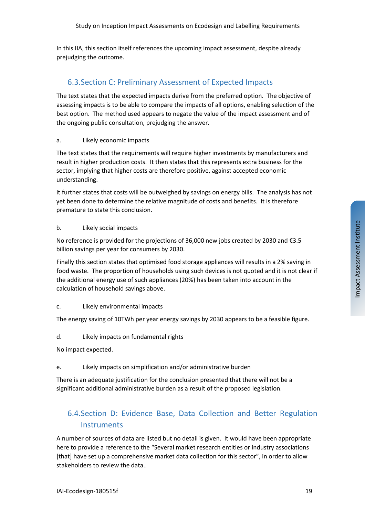In this IIA, this section itself references the upcoming impact assessment, despite already prejudging the outcome.

### 6.3.Section C: Preliminary Assessment of Expected Impacts

The text states that the expected impacts derive from the preferred option. The objective of assessing impacts is to be able to compare the impacts of all options, enabling selection of the best option. The method used appears to negate the value of the impact assessment and of the ongoing public consultation, prejudging the answer.

#### a. Likely economic impacts

The text states that the requirements will require higher investments by manufacturers and result in higher production costs. It then states that this represents extra business for the sector, implying that higher costs are therefore positive, against accepted economic understanding.

It further states that costs will be outweighed by savings on energy bills. The analysis has not yet been done to determine the relative magnitude of costs and benefits. It is therefore premature to state this conclusion.

#### b. Likely social impacts

No reference is provided for the projections of 36,000 new jobs created by 2030 and €3.5 billion savings per year for consumers by 2030.

Finally this section states that optimised food storage appliances will results in a 2% saving in food waste. The proportion of households using such devices is not quoted and it is not clear if the additional energy use of such appliances (20%) has been taken into account in the calculation of household savings above.

#### c. Likely environmental impacts

The energy saving of 10TWh per year energy savings by 2030 appears to be a feasible figure.

d. Likely impacts on fundamental rights

No impact expected.

#### e. Likely impacts on simplification and/or administrative burden

There is an adequate justification for the conclusion presented that there will not be a significant additional administrative burden as a result of the proposed legislation.

# 6.4.Section D: Evidence Base, Data Collection and Better Regulation **Instruments**

A number of sources of data are listed but no detail is given. It would have been appropriate here to provide a reference to the "Several market research entities or industry associations [that] have set up a comprehensive market data collection for this sector", in order to allow stakeholders to review the data..